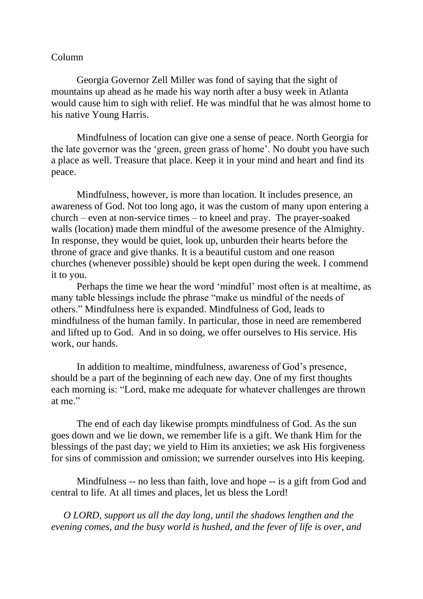## Column

Georgia Governor Zell Miller was fond of saying that the sight of mountains up ahead as he made his way north after a busy week in Atlanta would cause him to sigh with relief. He was mindful that he was almost home to his native Young Harris.

Mindfulness of location can give one a sense of peace. North Georgia for the late governor was the 'green, green grass of home'. No doubt you have such a place as well. Treasure that place. Keep it in your mind and heart and find its peace.

Mindfulness, however, is more than location. It includes presence, an awareness of God. Not too long ago, it was the custom of many upon entering a church – even at non-service times – to kneel and pray. The prayer-soaked walls (location) made them mindful of the awesome presence of the Almighty. In response, they would be quiet, look up, unburden their hearts before the throne of grace and give thanks. It is a beautiful custom and one reason churches (whenever possible) should be kept open during the week. I commend it to you.

Perhaps the time we hear the word 'mindful' most often is at mealtime, as many table blessings include the phrase "make us mindful of the needs of others." Mindfulness here is expanded. Mindfulness of God, leads to mindfulness of the human family. In particular, those in need are remembered and lifted up to God. And in so doing, we offer ourselves to His service. His work, our hands.

In addition to mealtime, mindfulness, awareness of God's presence, should be a part of the beginning of each new day. One of my first thoughts each morning is: "Lord, make me adequate for whatever challenges are thrown at me."

The end of each day likewise prompts mindfulness of God. As the sun goes down and we lie down, we remember life is a gift. We thank Him for the blessings of the past day; we yield to Him its anxieties; we ask His forgiveness for sins of commission and omission; we surrender ourselves into His keeping.

Mindfulness -- no less than faith, love and hope -- is a gift from God and central to life. At all times and places, let us bless the Lord!

 *O LORD, support us all the day long, until the shadows lengthen and the evening comes, and the busy world is hushed, and the fever of life is over, and*